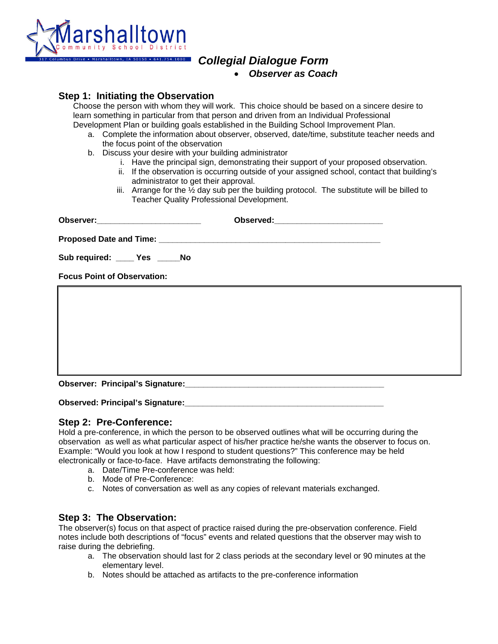

# *Collegial Dialogue Form*

|  |  | <b>Observer as Coach</b> |
|--|--|--------------------------|
|--|--|--------------------------|

**Step 1: Initiating the Observation**<br>Choose the person with whom they will work. This choice should be based on a sincere desire to learn something in particular from that person and driven from an Individual Professional

- Development Plan or building goals established in the Building School Improvement Plan.<br>a. Complete the information about observer, observed, date/time, substitute teacher needs and the focus point of the observation
	- b. Discuss your desire with your building administrator
		- i. Have the principal sign, demonstrating their support of your proposed observation.
		- ii. If the observation is occurring outside of your assigned school, contact that building's administrator to get their approval.
		- iii. Arrange for the  $\frac{1}{2}$  day sub per the building protocol. The substitute will be billed to Teacher Quality Professional Development.

| Observer:__________________________ |  |  |  |
|-------------------------------------|--|--|--|
|                                     |  |  |  |
| Sub required: ____ Yes _____No      |  |  |  |
| <b>Focus Point of Observation:</b>  |  |  |  |
|                                     |  |  |  |
|                                     |  |  |  |
|                                     |  |  |  |
|                                     |  |  |  |
|                                     |  |  |  |
|                                     |  |  |  |

**Observed: Principal's Signature:** 

### **Step 2: Pre-Conference:**

Hold a pre-conference, in which the person to be observed outlines what will be occurring during the observation as well as what particular aspect of his/her practice he/she wants the observer to focus on. Example: "Would you look at how I respond to student questions?" This conference may be held electronically or face-to-face. Have artifacts demonstrating the following:

- a. Date/Time Pre-conference was held:
- b. Mode of Pre-Conference:
- c. Notes of conversation as well as any copies of relevant materials exchanged.

### **Step 3: The Observation:**

The observer(s) focus on that aspect of practice raised during the pre-observation conference. Field notes include both descriptions of "focus" events and related questions that the observer may wish to raise during the debriefing.

- a. The observation should last for 2 class periods at the secondary level or 90 minutes at the elementary level.
- b. Notes should be attached as artifacts to the pre-conference information